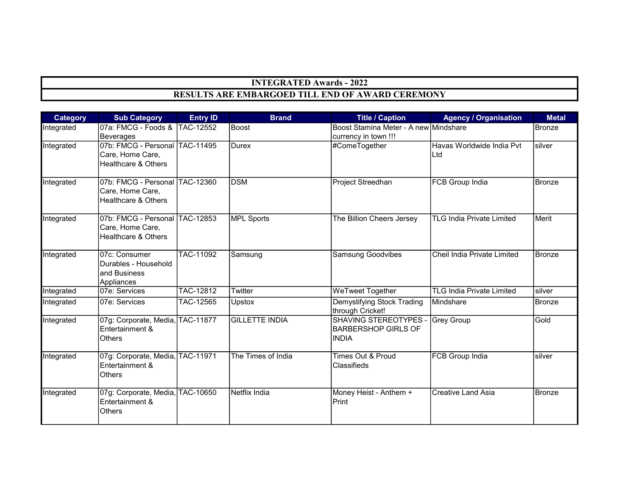## INTEGRATED Awards - 2022 RESULTS ARE EMBARGOED TILL END OF AWARD CEREMONY

| <b>Category</b> | <b>Sub Category</b>                                                                  | <b>Entry ID</b> | <b>Brand</b>          | <b>Title / Caption</b>                                              | <b>Agency / Organisation</b>     | <b>Metal</b>  |
|-----------------|--------------------------------------------------------------------------------------|-----------------|-----------------------|---------------------------------------------------------------------|----------------------------------|---------------|
| Integrated      | 07a: FMCG - Foods & TAC-12552<br>Beverages                                           |                 | Boost                 | Boost Stamina Meter - A new Mindshare<br>currency in town !!!       |                                  | Bronze        |
| Integrated      | 07b: FMCG - Personal TAC-11495<br>Care, Home Care,<br>Healthcare & Others            |                 | Durex                 | #ComeTogether                                                       | Havas Worldwide India Pvt<br>Ltd | silver        |
| Integrated      | 07b: FMCG - Personal TAC-12360<br>Care, Home Care,<br><b>Healthcare &amp; Others</b> |                 | <b>DSM</b>            | Project Streedhan                                                   | <b>FCB Group India</b>           | <b>Bronze</b> |
| Integrated      | 07b: FMCG - Personal TAC-12853<br>Care, Home Care,<br><b>Healthcare &amp; Others</b> |                 | <b>MPL Sports</b>     | The Billion Cheers Jersey                                           | <b>TLG India Private Limited</b> | Merit         |
| Integrated      | 07c: Consumer<br>Durables - Household<br>and Business<br>Appliances                  | TAC-11092       | Samsung               | <b>Samsung Goodvibes</b>                                            | Cheil India Private Limited      | <b>Bronze</b> |
| Integrated      | 07e: Services                                                                        | TAC-12812       | Twitter               | <b>WeTweet Together</b>                                             | <b>TLG India Private Limited</b> | silver        |
| Integrated      | 07e: Services                                                                        | TAC-12565       | Upstox                | Demystifying Stock Trading<br>through Cricket!                      | Mindshare                        | <b>Bronze</b> |
| Integrated      | 07g: Corporate, Media, TAC-11877<br>Entertainment &<br><b>Others</b>                 |                 | <b>GILLETTE INDIA</b> | SHAVING STEREOTYPES -<br><b>BARBERSHOP GIRLS OF</b><br><b>INDIA</b> | <b>Grey Group</b>                | Gold          |
| Integrated      | 07g: Corporate, Media, TAC-11971<br>Entertainment &<br><b>Others</b>                 |                 | The Times of India    | Times Out & Proud<br>Classifieds                                    | <b>FCB Group India</b>           | silver        |
| Integrated      | 07g: Corporate, Media, TAC-10650<br>Entertainment &<br><b>Others</b>                 |                 | Netflix India         | Money Heist - Anthem +<br>Print                                     | <b>Creative Land Asia</b>        | <b>Bronze</b> |